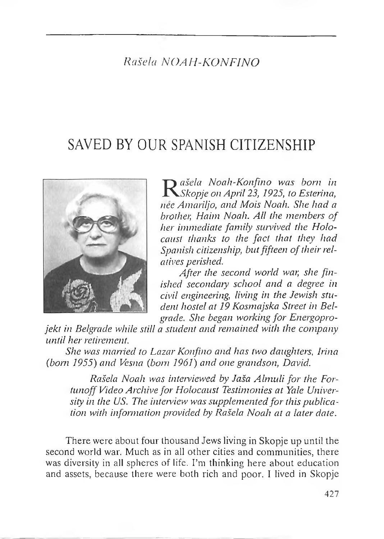## *Rašela NOAH-KONFINO*

# SAVED BY OUR SPANISH CITIZENSHIP



 $R$  ašela Noah-Konfino was born in<br>*RSkopje on April 23, 1925, to Esterina,*<br>nee Amariljo, and Mois Noah. She had a *ašela Noah-Konfino was born in Skopje on April 23, 1925, to Esterina, brother, Haim Noah. All the members of her immediate family survived the Holocaust thanks to the fact that they had Spanish citizenship, butfifteen oftheir relatives perished.*

*After the second world war, she finished secondary school and a degree in civil engineering, living in the Jewish student hostel at 19 Kosmajska Street in Belgrade.. She began working for Energopro-*

*jekt in Belgrade while still a student and remained with the company until her retirement.*

*She was married to Lazar Konfino and has two daughters, Irina (bom 1955} and Vesna (born 1961} and one grandson, David..*

*Rašela Noah was interviewed by Jaša Almuli for the Fortunoff Video Archive for Holocaust Testimonies at Yale University in the US. The interview was supplementedfor this publication with information provided by Rašela Noah at a later date.*

There were about four thousand Jews living in Skopje up until the second world war. Much as in all other cities and communities, there was diversity in all spheres of life. I'm thinking here about education and assets, because there were both rich and poor. <sup>I</sup> lived in Skopje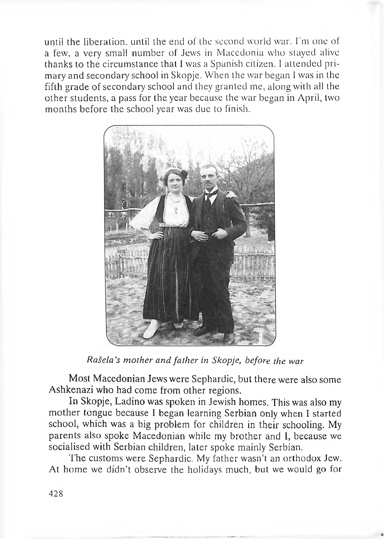until the liberation, until the end of the second world war. I'm one of a few. a very small number of Jews in Macedonia who stayed alive thanks to the circumstance that <sup>I</sup> was a Spanish citizen. <sup>I</sup> attended primary and secondary school in Skopje. When the war began <sup>I</sup> was in the fifth grade of secondary school and they granted me, along with all the other students, a pass for the year because the war began in April, two months before the school year was due to finish.



*Rašela's mother and father in Skopje, before the war*

Most Macedonian Jews were Sephardic, but there were also some Ashkenazi who had come from other regions.

In Skopje, Ladino was spoken in Jewish homes. This was also my mother tongue because <sup>I</sup> began learning Serbian only when I started school, which was a big problem for children in their schooling. My parents also spoke Macedonian while my brother and I, because we socialised with Serbian children, later spoke mainly Serbian.

The customs were Sephardic. My father wasn't an orthodox Jew. At home we didn't observe the holidays much, but we would go for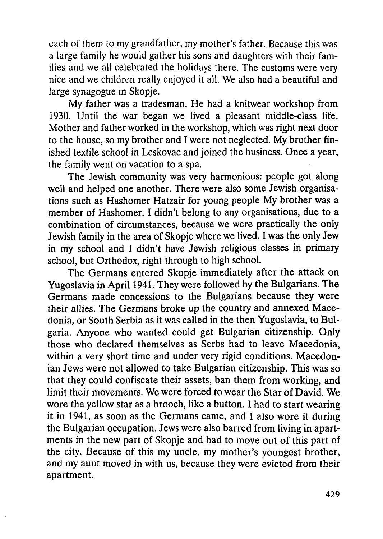each of them to my grandfather, my mother's father. Because this was a large family he would gather his sons and daughters with their families and we all celebrated the holidays there. The customs were very nice and we children really enjoyed it all. We also had a beautiful and large synagogue in Skopje.

My father was a tradesman. He had a knitwear workshop from 1930. Until the war began we lived a pleasant middle-class life. Mother and father worked in the workshop, which was right next door to the house, so my brother and I were not neglected. My brother finished textile school in Leskovac and joined the business. Once a year, the family went on vacation to a spa.

The Jewish community was very harmonious: people got along well and helped one another. There were also some Jewish organisations such as Hashomer Hatzair for young people My brother was a member of Hashomer. I didn't belong to any organisations, due to a combination of circumstances, because we were practically the only Jewish family in the area of Skopje where we lived. I was the only Jew in my school and I didn't have Jewish religious classes in primary school, but Orthodox, right through to high school.

The Germans entered Skopje immediately after the attack on Yugoslavia in April 1941. They were followed by the Bulgarians. The Germans made concessions to the Bulgarians because they were their allies. The Germans broke up the country and annexed Macedonia, or South Serbia as it was called in the then Yugoslavia, to Buigaria. Anyone who wanted could get Bulgarian citizenship. Only those who declared themselves as Serbs had to leave Macedonia, within a very short time and under very rigid conditions. Macedonian Jews were not allowed to take Bulgarian citizenship. This was so that they could confiscate their assets, ban them from working, and limit their movements. We were forced to wear the Star of David. We wore the yellow star as a brooch, like a button. I had to start wearing it in 1941, as soon as the Germans came, and I also wore it during the Bulgarian occupation. Jews were also barred from living in apartments in the new part of Skopje and had to move out of this part of the city. Because of this my uncle, my mother's youngest brother, and my aunt moved in with us, because they were evicted from their apartment.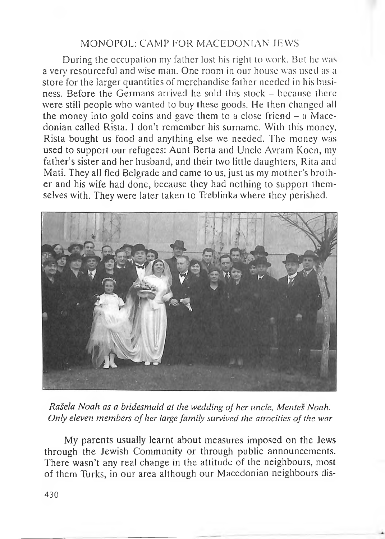### MONOPOL: CAMP FOR MACEDONIAN JEWS

During the occupation my father lost his right to work. But he was a very resourceful and wise man. One room in our house was used as a store for the larger quantities of merchandise father needed in his business. Before the Germans arrived he sold this stock - because there were still people who wanted to buy these goods. He then changed all the money into gold coins and gave them to <sup>a</sup> close friend - <sup>a</sup> Macedonian called Rista. <sup>I</sup> don'<sup>t</sup> remember his surname. With this money, Rista bought us food and anything else we needed. The money was used to support our refugees: Aunt Berta and Uncle Avram Koen, my father's sister and her husband, and their two little daughters, Rita and Mati. They all fled Belgrade and came to us, just as my mother's brother and his wife had done, because they had nothing to support themselves with. They were later taken to Treblinka where they perished.



*Rašela Noah as a bridesmaid at the wedding ofher uncle, Mentes Noah. Only eleven members ofher large family survived the atrocities ofthe war*

My parents usually learnt about measures imposed on the Jews through the Jewish Community or through public announcements. There wasn't any real change in the attitude of the neighbours, most of them Turks, in our area although our Macedonian neighbours dis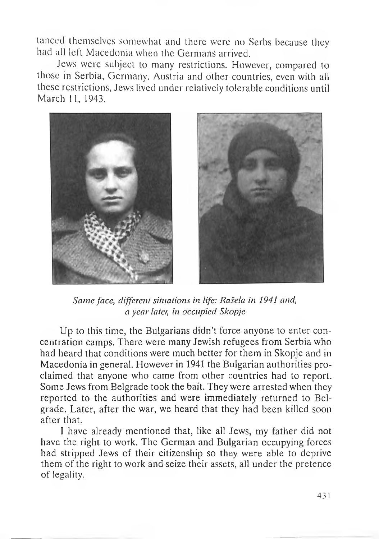lanced themselves somewhat and there were no Serbs because they had all left Macedonia when the Germans arrived.

Jews were subject to many restrictions. However, compared to those in Serbia, Germany. Austria and other countries, even with all these restrictions, Jews lived under relatively tolerable conditions until March 11, 1943.



*Same face, different situations in life: Rašela in 1941 and, a year later, in occupied Skopje*

Up to this time, the Bulgarians didn't force anyone to enter concentration camps. There were many Jewish refugees from Serbia who had heard that conditions were much better for them in Skopje and in Macedonia in general. However in 1941 the Bulgarian authorities proclaimed that anyone who came from other countries had to report. Some Jews from Belgrade took the bait. They were arrested when they reported to the authorities and were immediately returned to Belgrade. Later, after the war, we heard that they had been killed soon after that.

<sup>I</sup> have already mentioned that, like all Jews, my father did not have the right to work. The German and Bulgarian occupying forces had stripped Jews of their citizenship so they were able to deprive them of the right to work and seize their assets, all under the pretence of legality.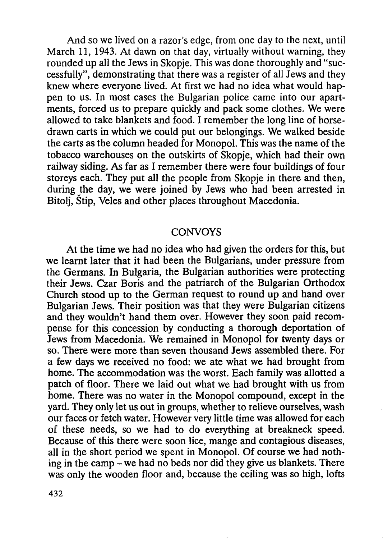And so we lived on a razor's edge, from one day to the next, until March 11, 1943. At dawn on that day, virtually without warning, they rounded up all the Jews in Skopje. This was done thoroughly and "suecessfully", demonstrating that there was a register of all Jews and they knew where everyone lived. At first we had no idea what would happen to us. In most cases the Bulgarian police came into our apartments, forced us to prepare quickly and pack some clothes. We were allowed to take blankets and food. I remember the long line of horsedrawn carts in which we could put our belongings. We walked beside the carts as the column headed for Monopol. This was the name of the tobacco warehouses on the outskirts of Skopje, which had their own railway siding. As far as I remember there were four buildings of four storeys each. They put all the people from Skopje in there and then, during the day, we were joined by Jews who had been arrested in Bitolj, Štip, Veles and other places throughout Macedonia.

#### **CONVOYS**

At the time we had no idea who had given the orders for this, but we learnt later that it had been the Bulgarians, under pressure from the Germans. In Bulgaria, the Bulgarian authorities were protecting their Jews. Czar Boris and the patriarch of the Bulgarian Orthodox Church stood up to the German request to round up and hand over Bulgarian Jews. Their position was that they were Bulgarian citizens and they wouldn't hand them over. However they soon paid recompense for this concession by conducting a thorough deportation of Jews from Macedonia. We remained in Monopol for twenty days or so. There were more than seven thousand Jews assembled there. For a few days we received no food: we ate what we had brought from home. The accommodation was the worst. Each family was allotted a patch of floor. There we laid out what we had brought with us from home. There was no water in the Monopol compound, except in the yard. They only let us out in groups, whether to relieve ourselves, wash our faces or fetch water. However very little time was allowed for each of these needs, so we had to do everything at breakneck speed. Because of this there were soon lice, mange and contagious diseases, all in the short period we spent in Monopol. Of course we had nothing in the camp - we had no beds nor did they give us blankets. There was only the wooden floor and, because the ceiling was so high, lofts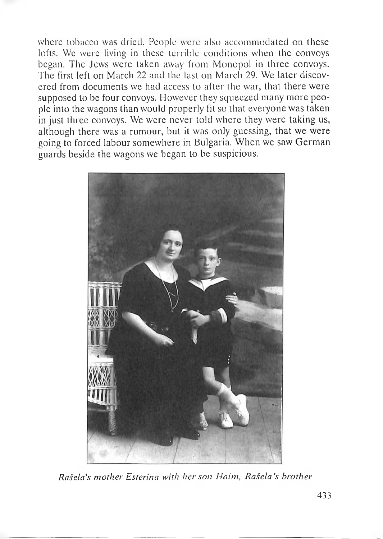where tobacco was dried. People were also accommodated on these lofts. We were living in these terrible conditions when the convoys began. The Jews were taken away from Monopol in three convoys. The first left on March 22 and the last on March 29. We later discovered from documents we had access to after the war, that there were supposed to be four convoys. However they squeezed many more peopie into the wagons than would properly fit so that everyone was taken in just three convoys. We were never told where they were taking us, although there was a rumour, but it was only guessing, that we were going to forced labour somewhere in Bulgaria. When we saw German guards beside the wagons we began to be suspicious.



*Rašela's mother Esterina with her son Haim, Rašela's brother*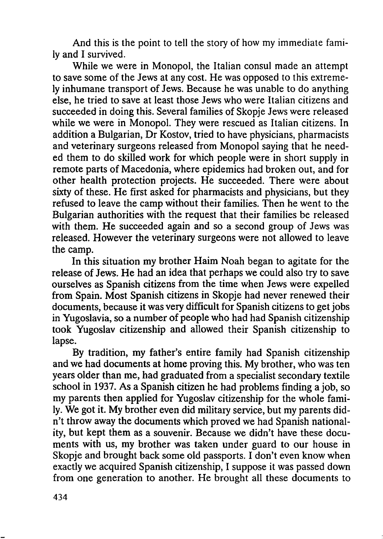And this is the point to tell the story of how my immediate family and I survived.

While we were in Monopol, the Italian consul made an attempt to save some of the Jews at any cost. He was opposed to this extremely inhumane transport of Jews. Because he was unable to do anything else, he tried to save at least those Jews who were Italian citizens and succeeded in doing this. Several families of Skopje Jews were released while we were in Monopol. They were rescued as Italian citizens. In addition a Bulgarian, Dr Kostov, tried to have physicians, pharmacists and veterinary surgeons released from Monopol saying that he needed them to do skilled work for which people were in short supply in remote parts of Macedonia, where epidemics had broken out, and for other health protection projects. He succeeded. There were about sixty of these. He first asked for pharmacists and physicians, but they refused to leave the camp without their families. Then he went to the Bulgarian authorities with the request that their families be released with them. He succeeded again and so a second group of Jews was released. However the veterinary surgeons were not allowed to leave the camp.

In this situation my brother Haim Noah began to agitate for the release of Jews. He had an idea that perhaps we could also try to save ourselves as Spanish citizens from the time when Jews were expelled from Spain. Most Spanish citizens in Skopje had never renewed their documents, because it was very difficult for Spanish citizens to get jobs in Yugoslavia, so a number of people who had had Spanish citizenship took Yugoslav citizenship and allowed their Spanish citizenship to lapse.

By tradition, my father's entire family had Spanish citizenship and we had documents at home proving this. My brother, who was ten years older than me, had graduated from a specialist secondary textile school in 1937. As a Spanish citizen he had problems finding a job, so my parents then applied for Yugoslav citizenship for the whole family. We got it. My brother even did military service, but my parents didn't throw away the documents which proved we had Spanish nationality, but kept them as a souvenir. Because we didn't have these documents with us, my brother was taken under guard to our house in Skopje and brought back some old passports. I don't even know when exactly we acquired Spanish citizenship, I suppose it was passed down from one generation to another. He brought all these documents to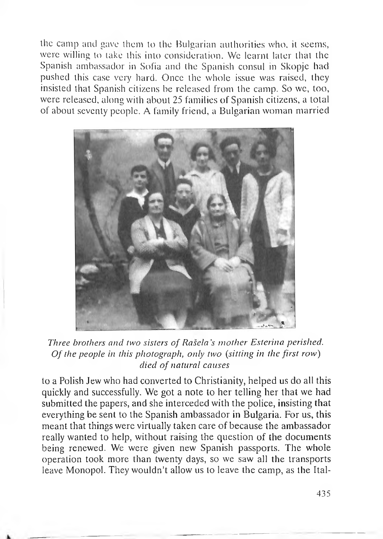the camp and gave them to the Bulgarian authorities who, it seems, were willing to take this into consideration. We learnt later that the Spanish ambassador in Sofia and the Spanish consul in Skopje had pushed this case very hard. Once the whole issue was raised, they insisted that Spanish citizens be released from the camp. So we, too, were released, along with about 25 families of Spanish citizens, a total of about seventy people. A family friend, a Bulgarian woman married



*Three brothers and two sisters of Rasela's mother Esterina perished. Of the people in this photograph, only two (sitting in the first row) died of natural causes*

to a Polish Jew who had converted to Christianit^y, helped us do all this quickly and successfully. We got a note to her telling her that we had submitted the papers, and she interceded with the police, insisting that everything be sent to the Spanish ambassador in Bulgaria. For us, this meant that things were virtually taken care of because the ambassador really wanted to help, without raising the question of the documents being renewed. We were given new Spanish passports. The whole operation took more than twenty days, so we saw all the transports leave Monopol. They wouldn't allow us to leave the camp, as the Ital-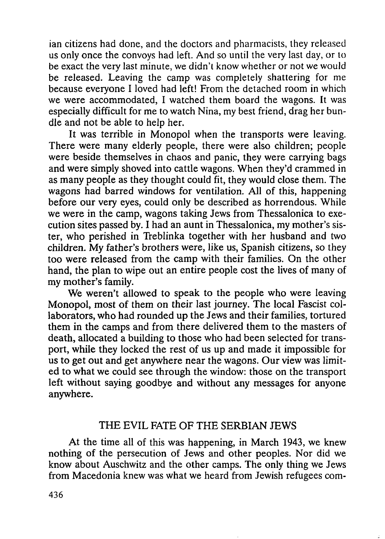ian citizens had done, and the doctors and pharmacists, they released us only once the convoys had left. And so until the very last day, or to be exact the very last minute, we didn't know whether or not we would be released. Leaving the camp was completely shattering for me because everyone I loved had left! From the detached room in which we were accommodated, I watched them board the wagons. It was especially difficult for me to watch Nina, my best friend, drag her bundie and not be able to help her.

It was terrible in Monopol when the transports were leaving. There were many elderly people, there were also children; people were beside themselves in chaos and panic, they were carrying bags and were simply shoved into cattle wagons. When they'd crammed in as many people as they thought could fit, they would close them. The wagons had barred windows for ventilation. All of this, happening before our very eyes, could only be described as horrendous. While we were in the camp, wagons taking Jews from Thessalonica to execution sites passed by. I had an aunt in Thessalonica, my mother's sister, who perished in Treblinka together with her husband and two children. My father's brothers were, like us, Spanish citizens, so they too were released from the camp with their families. On the other hand, the plan to wipe out an entire people cost the lives of many of my mother's family.

We weren't allowed to speak to the people who were leaving Monopol, most of them on their last journey. The local Fascist collaborators, who had rounded up the Jews and their families, tortured them in the camps and from there delivered them to the masters of death, allocated a building to those who had been selected for transport, while they locked the rest of us up and made it impossible for us to get out and get anywhere near the wagons. Our view was limited to what we could see through the window: those on the transport left without saying goodbye and without any messages for anyone anywhere.

### THE EVIL FATE OF THE SERBIAN JEWS

At the time all of this was happening, in March 1943, we knew nothing of the persecution of Jews and other peoples. Nor did we know about Auschwitz and the other camps. The only thing we Jews from Macedonia knew was what we heard from Jewish refugees com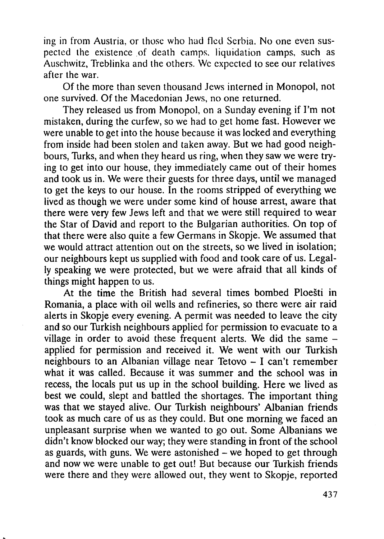ing in from Austria, or those who had fled Serbia. No one even suspected the existence of death camps, liquidation camps, such as Auschwitz, Treblinka and the others. We expected to see our relatives after the war.

Of the more than seven thousand Jews interned in Monopol, not one survived. Of the Macedonian Jews, no one returned.

They released us from Monopol, on a Sunday evening if I'm not mistaken, during the curfew, so we had to get home fast. However we were unable to get into the house because it was locked and everything from inside had been stolen and taken away. But we had good neighbours, Turks, and when they heard us ring, when they saw we were trying to get into our house, they immediately came out of their homes and took us in. We were their guests for three days, until we managed to get the keys to our house. In the rooms stripped of everything we lived as though we were under some kind of house arrest, aware that there were very few Jews left and that we were still required to wear the Star of David and report to the Bulgarian authorities. On top of that there were also quite a few Germans in Skopje. We assumed that we would attract attention out on the streets, so we lived in isolation; our neighbours kept us supplied with food and took care of us. Legally speaking we were protected, but we were afraid that all kinds of things might happen to us.

At the time the British had several times bombed Ploešti in Romania, a place with oil wells and refineries, so there were air raid alerts in Skopje every evening. A permit was needed to leave the city and so our Turkish neighbours applied for permission to evacuate to a village in order to avoid these frequent alerts. We did the same applied for permission and received it. We went with our Turkish neighbours to an Albanian village near Tetovo – I can't remember what it was called. Because it was summer and the school was in recess, the locals put us up in the school building. Here we lived as best we could, slept and battled the shortages. The important thing was that we stayed alive. Our Turkish neighbours' Albanian friends took as much care of us as they could. But one morning we faced an unpleasant surprise when we wanted to go out. Some Albanians we didn't know blocked our way; they were standing in front of the school as guards, with guns. We were astonished  $-$  we hoped to get through and now we were unable to get out! But because our Turkish friends were there and they were allowed out, they went to Skopje, reported